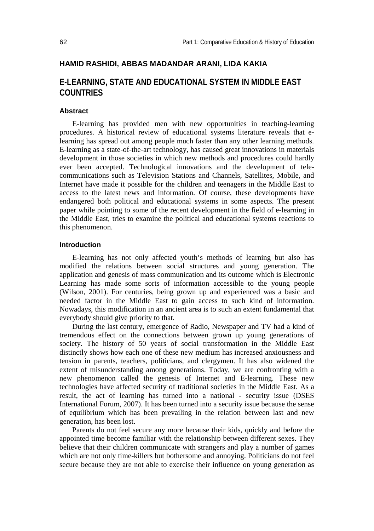## **HAMID RASHIDI, ABBAS MADANDAR ARANI, LIDA KAKIA**

# **E-LEARNING, STATE AND EDUCATIONAL SYSTEM IN MIDDLE EAST COUNTRIES**

#### **Abstract**

E-learning has provided men with new opportunities in teaching-learning procedures. A historical review of educational systems literature reveals that elearning has spread out among people much faster than any other learning methods. E-learning as a state-of-the-art technology, has caused great innovations in materials development in those societies in which new methods and procedures could hardly ever been accepted. Technological innovations and the development of telecommunications such as Television Stations and Channels, Satellites, Mobile, and Internet have made it possible for the children and teenagers in the Middle East to access to the latest news and information. Of course, these developments have endangered both political and educational systems in some aspects. The present paper while pointing to some of the recent development in the field of e-learning in the Middle East, tries to examine the political and educational systems reactions to this phenomenon.

## **Introduction**

E-learning has not only affected youth's methods of learning but also has modified the relations between social structures and young generation. The application and genesis of mass communication and its outcome which is Electronic Learning has made some sorts of information accessible to the young people (Wilson, 2001). For centuries, being grown up and experienced was a basic and needed factor in the Middle East to gain access to such kind of information. Nowadays, this modification in an ancient area is to such an extent fundamental that everybody should give priority to that.

During the last century, emergence of Radio, Newspaper and TV had a kind of tremendous effect on the connections between grown up young generations of society. The history of 50 years of social transformation in the Middle East distinctly shows how each one of these new medium has increased anxiousness and tension in parents, teachers, politicians, and clergymen. It has also widened the extent of misunderstanding among generations. Today, we are confronting with a new phenomenon called the genesis of Internet and E-learning. These new technologies have affected security of traditional societies in the Middle East. As a result, the act of learning has turned into a national - security issue (DSES International Forum, 2007). It has been turned into a security issue because the sense of equilibrium which has been prevailing in the relation between last and new generation, has been lost.

Parents do not feel secure any more because their kids, quickly and before the appointed time become familiar with the relationship between different sexes. They believe that their children communicate with strangers and play a number of games which are not only time-killers but bothersome and annoying. Politicians do not feel secure because they are not able to exercise their influence on young generation as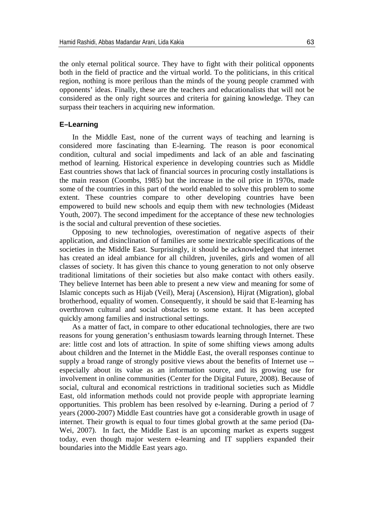the only eternal political source. They have to fight with their political opponents both in the field of practice and the virtual world. To the politicians, in this critical region, nothing is more perilous than the minds of the young people crammed with opponents' ideas. Finally, these are the teachers and educationalists that will not be considered as the only right sources and criteria for gaining knowledge. They can surpass their teachers in acquiring new information.

## **E–Learning**

In the Middle East, none of the current ways of teaching and learning is considered more fascinating than E-learning. The reason is poor economical condition, cultural and social impediments and lack of an able and fascinating method of learning. Historical experience in developing countries such as Middle East countries shows that lack of financial sources in procuring costly installations is the main reason (Coombs, 1985) but the increase in the oil price in 1970s, made some of the countries in this part of the world enabled to solve this problem to some extent. These countries compare to other developing countries have been empowered to build new schools and equip them with new technologies (Mideast Youth, 2007). The second impediment for the acceptance of these new technologies is the social and cultural prevention of these societies.

Opposing to new technologies, overestimation of negative aspects of their application, and disinclination of families are some inextricable specifications of the societies in the Middle East. Surprisingly, it should be acknowledged that internet has created an ideal ambiance for all children, juveniles, girls and women of all classes of society. It has given this chance to young generation to not only observe traditional limitations of their societies but also make contact with others easily. They believe Internet has been able to present a new view and meaning for some of Islamic concepts such as Hijab (Veil), Meraj (Ascension), Hijrat (Migration), global brotherhood, equality of women. Consequently, it should be said that E-learning has overthrown cultural and social obstacles to some extant. It has been accepted quickly among families and instructional settings.

As a matter of fact, in compare to other educational technologies, there are two reasons for young generation's enthusiasm towards learning through Internet. These are: little cost and lots of attraction. In spite of some shifting views among adults about children and the Internet in the Middle East, the overall responses continue to supply a broad range of strongly positive views about the benefits of Internet use - especially about its value as an information source, and its growing use for involvement in online communities (Center for the Digital Future, 2008). Because of social, cultural and economical restrictions in traditional societies such as Middle East, old information methods could not provide people with appropriate learning opportunities. This problem has been resolved by e-learning. During a period of 7 years (2000-2007) Middle East countries have got a considerable growth in usage of internet. Their growth is equal to four times global growth at the same period (Da-Wei, 2007). In fact, the Middle East is an upcoming market as experts suggest today, even though major western e-learning and IT suppliers expanded their boundaries into the Middle East years ago.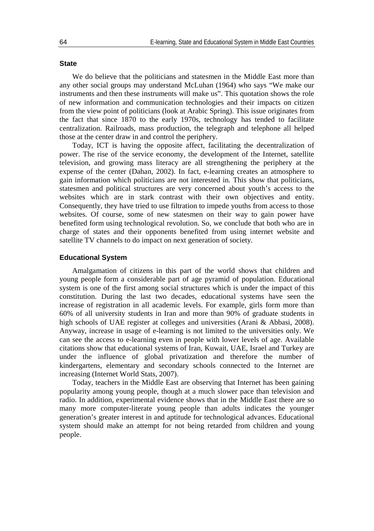## **State**

We do believe that the politicians and statesmen in the Middle East more than any other social groups may understand McLuhan (1964) who says "We make our instruments and then these instruments will make us". This quotation shows the role of new information and communication technologies and their impacts on citizen from the view point of politicians (look at Arabic Spring). This issue originates from the fact that since 1870 to the early 1970s, technology has tended to facilitate centralization. Railroads, mass production, the telegraph and telephone all helped those at the center draw in and control the periphery.

Today, ICT is having the opposite affect, facilitating the decentralization of power. The rise of the service economy, the development of the Internet, satellite television, and growing mass literacy are all strengthening the periphery at the expense of the center (Dahan, 2002). In fact, e-learning creates an atmosphere to gain information which politicians are not interested in. This show that politicians, statesmen and political structures are very concerned about youth's access to the websites which are in stark contrast with their own objectives and entity. Consequently, they have tried to use filtration to impede youths from access to those websites. Of course, some of new statesmen on their way to gain power have benefited form using technological revolution. So, we conclude that both who are in charge of states and their opponents benefited from using internet website and satellite TV channels to do impact on next generation of society.

### **Educational System**

Amalgamation of citizens in this part of the world shows that children and young people form a considerable part of age pyramid of population. Educational system is one of the first among social structures which is under the impact of this constitution. During the last two decades, educational systems have seen the increase of registration in all academic levels. For example, girls form more than 60% of all university students in Iran and more than 90% of graduate students in high schools of UAE register at colleges and universities (Arani & Abbasi, 2008). Anyway, increase in usage of e-learning is not limited to the universities only. We can see the access to e-learning even in people with lower levels of age. Available citations show that educational systems of Iran, Kuwait, UAE, Israel and Turkey are under the influence of global privatization and therefore the number of kindergartens, elementary and secondary schools connected to the Internet are increasing (Internet World Stats, 2007).

Today, teachers in the Middle East are observing that Internet has been gaining popularity among young people, though at a much slower pace than television and radio. In addition, experimental evidence shows that in the Middle East there are so many more computer-literate young people than adults indicates the younger generation's greater interest in and aptitude for technological advances. Educational system should make an attempt for not being retarded from children and young people.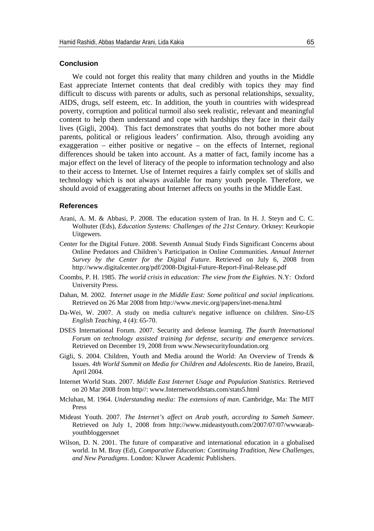#### **Conclusion**

We could not forget this reality that many children and youths in the Middle East appreciate Internet contents that deal credibly with topics they may find difficult to discuss with parents or adults, such as personal relationships, sexuality, AIDS, drugs, self esteem, etc. In addition, the youth in countries with widespread poverty, corruption and political turmoil also seek realistic, relevant and meaningful content to help them understand and cope with hardships they face in their daily lives (Gigli, 2004). This fact demonstrates that youths do not bother more about parents, political or religious leaders' confirmation. Also, through avoiding any exaggeration – either positive or negative – on the effects of Internet, regional differences should be taken into account. As a matter of fact, family income has a major effect on the level of literacy of the people to information technology and also to their access to Internet. Use of Internet requires a fairly complex set of skills and technology which is not always available for many youth people. Therefore, we should avoid of exaggerating about Internet affects on youths in the Middle East.

#### **References**

- Arani, A. M. & Abbasi, P. 2008. The education system of Iran. In H. J. Steyn and C. C. Wolhuter (Eds), *Education Systems: Challenges of the 21st Century*. Orkney: Keurkopie Uitgewers.
- Center for the Digital Future. 2008. Seventh Annual Study Finds Significant Concerns about Online Predators and Children's Participation in Online Communities. *Annual Internet Survey by the Center for the Digital Future*. Retrieved on July 6, 2008 from <http://www.digitalcenter.org/pdf/2008-Digital-Future-Report-Final-Release.pdf>
- Coombs, P. H. 1985. *The world crisis in education: The view from the Eighties*. N.Y: Oxford University Press.
- Dahan, M. 2002. *Internet usage in the Middle East: Some political and social implications.* Retrieved on 26 Mar 2008 fro[m http://www.mevic.org/papers/inet-mena.html](http://www.mevic.org/papers/inet-mena.html)
- Da-Wei, W. 2007. A study on media culture's negative influence on children. *Sino-US English Teaching*, 4 (4): 65-70.
- DSES International Forum. 2007. Security and defense learning. *The fourth International Forum on technology assisted training for defense, security and emergence services*. Retrieved on December 19, 2008 from www.Newsecurityfoundation.org
- Gigli, S. 2004. Children, Youth and Media around the World: An Overview of Trends & Issues. *4th World Summit on Media for Children and Adolescents*. Rio de Janeiro, Brazil, April 2004.
- Internet World Stats. 2007. *Middle East Internet Usage and Population Statistics*. Retrieved on 20 Mar 2008 from http//: www.Internetworldstats.com/stats5.html
- Mcluhan, M. 1964. *Understanding media: The extensions of man*. Cambridge, Ma: The MIT Press
- Mideast Youth. 2007. *[The Internet's affect on Arab youth, according to Sameh Sameer](http://www.mideastyouth.com/2006/06/17/the-internets-affect-on-arab-youth-according-to-sameh-sameer/)*. Retrieved on July 1, 2008 from [http://www.mideastyouth.com/2007/07/07/wwwarab](http://www.mideastyouth.com/2007/07/07/wwwarab-youthbloggersnet/)[youthbloggersnet](http://www.mideastyouth.com/2007/07/07/wwwarab-youthbloggersnet/)
- Wilson, D. N. 2001. The future of comparative and international education in a globalised world. In M. Bray (Ed), *Comparative Education: Continuing Tradition, New Challenges, and New Paradigms*. London: Kluwer Academic Publishers.